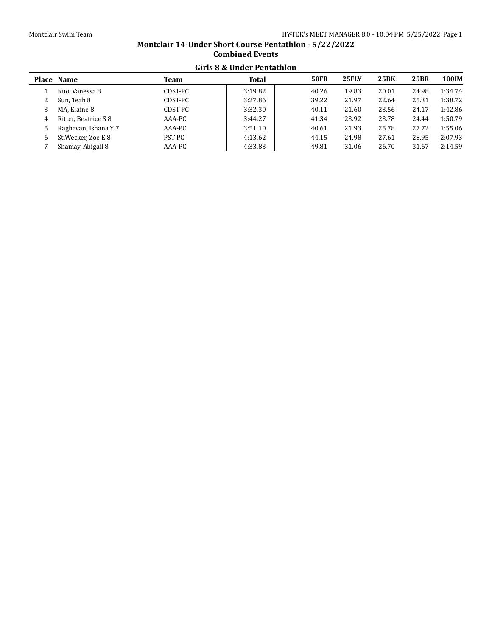# **Montclair 14-Under Short Course Pentathlon - 5/22/2022 Combined Events Girls 8 & Under Pentathlon**

|   | Place Name           | <b>Team</b> | <b>Total</b> | <b>50FR</b> | <b>25FLY</b> | <b>25BK</b> | <b>25BR</b> | 100IM   |
|---|----------------------|-------------|--------------|-------------|--------------|-------------|-------------|---------|
|   | Kuo, Vanessa 8       | CDST-PC     | 3:19.82      | 40.26       | 19.83        | 20.01       | 24.98       | 1:34.74 |
|   | Sun, Teah 8          | CDST-PC     | 3:27.86      | 39.22       | 21.97        | 22.64       | 25.31       | 1:38.72 |
| 3 | MA, Elaine 8         | CDST-PC     | 3:32.30      | 40.11       | 21.60        | 23.56       | 24.17       | 1:42.86 |
| 4 | Ritter. Beatrice S 8 | AAA-PC      | 3:44.27      | 41.34       | 23.92        | 23.78       | 24.44       | 1:50.79 |
|   | Raghavan, Ishana Y 7 | AAA-PC      | 3:51.10      | 40.61       | 21.93        | 25.78       | 27.72       | 1:55.06 |
| 6 | St. Wecker, Zoe E 8  | PST-PC      | 4:13.62      | 44.15       | 24.98        | 27.61       | 28.95       | 2:07.93 |
|   | Shamay, Abigail 8    | AAA-PC      | 4:33.83      | 49.81       | 31.06        | 26.70       | 31.67       | 2:14.59 |
|   |                      |             |              |             |              |             |             |         |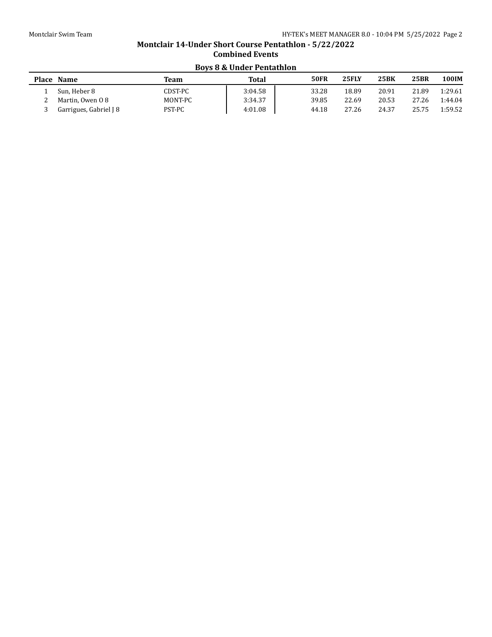# **Montclair 14-Under Short Course Pentathlon - 5/22/2022 Combined Events Boys 8 & Under Pentathlon**

| Place Name             | Team    | Total   | <b>50FR</b> | <b>25FLY</b> | 25BK  | 25BR  | 100IM   |
|------------------------|---------|---------|-------------|--------------|-------|-------|---------|
| Sun. Heber 8           | CDST-PC | 3:04.58 | 33.28       | 18.89        | 20.91 | 21.89 | 1:29.61 |
| Martin, Owen 0 8       | MONT-PC | 3:34.37 | 39.85       | 22.69        | 20.53 | 27.26 | 1:44.04 |
| Garrigues, Gabriel J 8 | PST-PC  | 4:01.08 | 44.18       | 27.26        | 24.37 | 25.75 | 1:59.52 |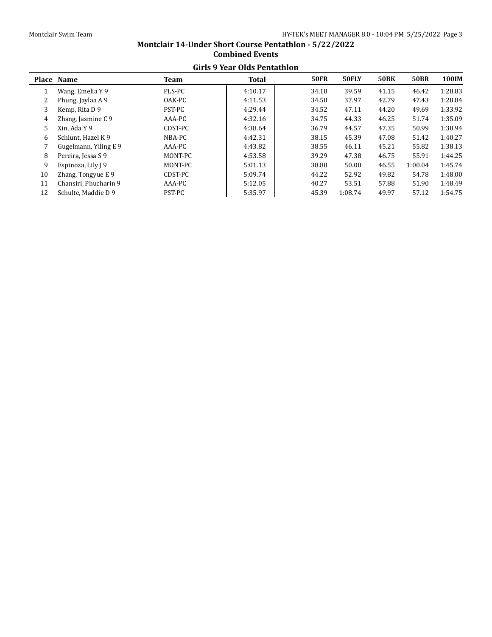|    | Girls 9 Year Olds Pentathion |         |              |             |         |             |             |         |  |  |  |  |
|----|------------------------------|---------|--------------|-------------|---------|-------------|-------------|---------|--|--|--|--|
|    | Place Name                   | Team    | <b>Total</b> | <b>50FR</b> | 50FLY   | <b>50BK</b> | <b>50BR</b> | 100IM   |  |  |  |  |
|    | Wang, Emelia Y 9             | PLS-PC  | 4:10.17      | 34.18       | 39.59   | 41.15       | 46.42       | 1:28.83 |  |  |  |  |
| 2  | Phung, Jaylaa A 9            | OAK-PC  | 4:11.53      | 34.50       | 37.97   | 42.79       | 47.43       | 1:28.84 |  |  |  |  |
| 3  | Kemp, Rita D 9               | PST-PC  | 4:29.44      | 34.52       | 47.11   | 44.20       | 49.69       | 1:33.92 |  |  |  |  |
| 4  | Zhang, Jasmine C 9           | AAA-PC  | 4:32.16      | 34.75       | 44.33   | 46.25       | 51.74       | 1:35.09 |  |  |  |  |
| 5  | Xin. Ada Y 9                 | CDST-PC | 4:38.64      | 36.79       | 44.57   | 47.35       | 50.99       | 1:38.94 |  |  |  |  |
| 6  | Schlunt, Hazel K 9           | NBA-PC  | 4:42.31      | 38.15       | 45.39   | 47.08       | 51.42       | 1:40.27 |  |  |  |  |
|    | Gugelmann, Yiling E 9        | AAA-PC  | 4:43.82      | 38.55       | 46.11   | 45.21       | 55.82       | 1:38.13 |  |  |  |  |
| 8  | Pereira, Jessa S 9           | MONT-PC | 4:53.58      | 39.29       | 47.38   | 46.75       | 55.91       | 1:44.25 |  |  |  |  |
| 9  | Espinoza, Lily J 9           | MONT-PC | 5:01.13      | 38.80       | 50.00   | 46.55       | 1:00.04     | 1:45.74 |  |  |  |  |
| 10 | Zhang, Tongyue E 9           | CDST-PC | 5:09.74      | 44.22       | 52.92   | 49.82       | 54.78       | 1:48.00 |  |  |  |  |
| 11 | Chansiri, Phucharin 9        | AAA-PC  | 5:12.05      | 40.27       | 53.51   | 57.88       | 51.90       | 1:48.49 |  |  |  |  |
| 12 | Schulte, Maddie D 9          | PST-PC  | 5:35.97      | 45.39       | 1:08.74 | 49.97       | 57.12       | 1:54.75 |  |  |  |  |
|    |                              |         |              |             |         |             |             |         |  |  |  |  |

#### **Montclair 14-Under Short Course Pentathlon - 5/22/2022 Combined Events Girls 9 Year Olds Pentathlon**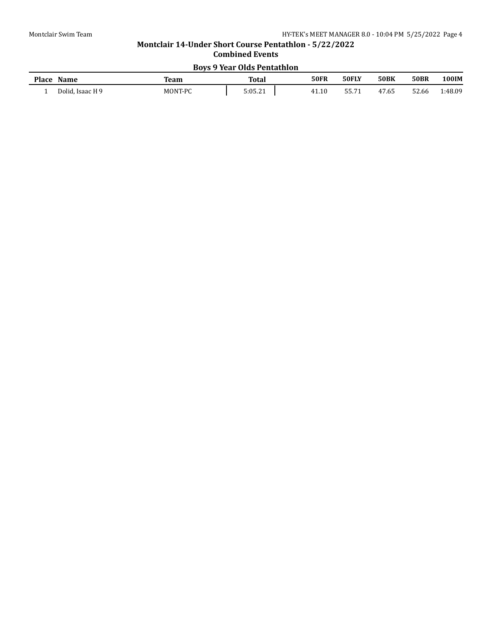# **Montclair 14-Under Short Course Pentathlon - 5/22/2022 Combined Events Boys 9 Year Olds Pentathlon**

| <b>Place</b> | Name                  | Team    | <b>Total</b> | <b>50FR</b>              | 50FLY            | <b>50BK</b> | <b>50BR</b> | 00IM    |
|--------------|-----------------------|---------|--------------|--------------------------|------------------|-------------|-------------|---------|
|              | Dolid,<br>. Isaac H 9 | MONT-PC | 5:05.21      | $\overline{10}$<br>41.1ı | FF 71<br>JJ. / 1 | 47.65       | 52.66       | 1:48.09 |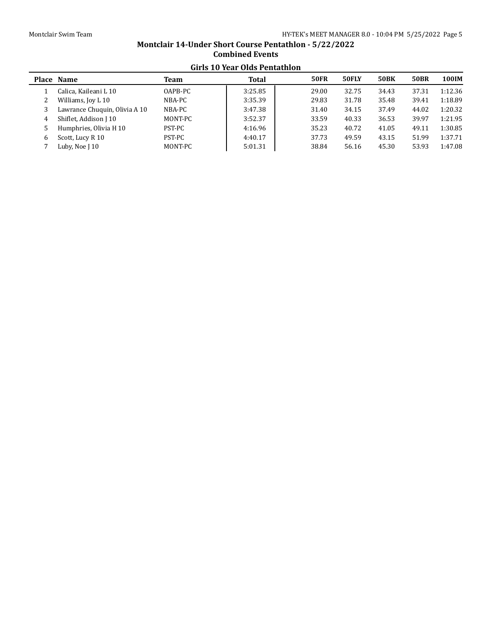# **Montclair 14-Under Short Course Pentathlon - 5/22/2022 Combined Events Girls 10 Year Olds Pentathlon**

| unis IV Ital Olus I chiathion |         |              |             |       |             |             |              |  |  |  |  |
|-------------------------------|---------|--------------|-------------|-------|-------------|-------------|--------------|--|--|--|--|
| Place Name                    | Team    | <b>Total</b> | <b>50FR</b> | 50FLY | <b>50BK</b> | <b>50BR</b> | <b>100IM</b> |  |  |  |  |
| Calica, Kaileani L 10         | OAPB-PC | 3:25.85      | 29.00       | 32.75 | 34.43       | 37.31       | 1:12.36      |  |  |  |  |
| Williams, Joy L 10            | NBA-PC  | 3:35.39      | 29.83       | 31.78 | 35.48       | 39.41       | 1:18.89      |  |  |  |  |
| Lawrance Chuquin, Olivia A 10 | NBA-PC  | 3:47.38      | 31.40       | 34.15 | 37.49       | 44.02       | 1:20.32      |  |  |  |  |
| Shiflet, Addison J 10         | MONT-PC | 3:52.37      | 33.59       | 40.33 | 36.53       | 39.97       | 1:21.95      |  |  |  |  |
| Humphries, Olivia H 10        | PST-PC  | 4:16.96      | 35.23       | 40.72 | 41.05       | 49.11       | 1:30.85      |  |  |  |  |
| Scott, Lucy R 10              | PST-PC  | 4:40.17      | 37.73       | 49.59 | 43.15       | 51.99       | 1:37.71      |  |  |  |  |
| Luby, Noe J 10                | MONT-PC | 5:01.31      | 38.84       | 56.16 | 45.30       | 53.93       | 1:47.08      |  |  |  |  |
|                               |         |              |             |       |             |             |              |  |  |  |  |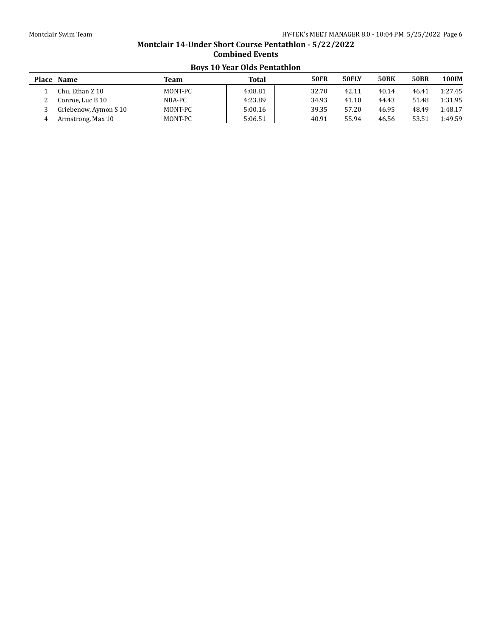# **Montclair 14-Under Short Course Pentathlon - 5/22/2022 Combined Events Boys 10 Year Olds Pentathlon**

|   | Place Name            | Team    | Total   | <b>50FR</b> | 50FLY | <b>50BK</b> | <b>50BR</b> | 100IM   |
|---|-----------------------|---------|---------|-------------|-------|-------------|-------------|---------|
|   | Chu, Ethan Z 10       | MONT-PC | 4:08.81 | 32.70       | 42.11 | 40.14       | 46.41       | 1:27.45 |
|   | Conroe, Luc B 10      | NBA-PC  | 4:23.89 | 34.93       | 41.10 | 44.43       | 51.48       | 1:31.95 |
|   | Griebenow, Aymon S 10 | MONT-PC | 5:00.16 | 39.35       | 57.20 | 46.95       | 48.49       | 1:48.17 |
| 4 | Armstrong, Max 10     | MONT-PC | 5:06.51 | 40.91       | 55.94 | 46.56       | 53.51       | 1:49.59 |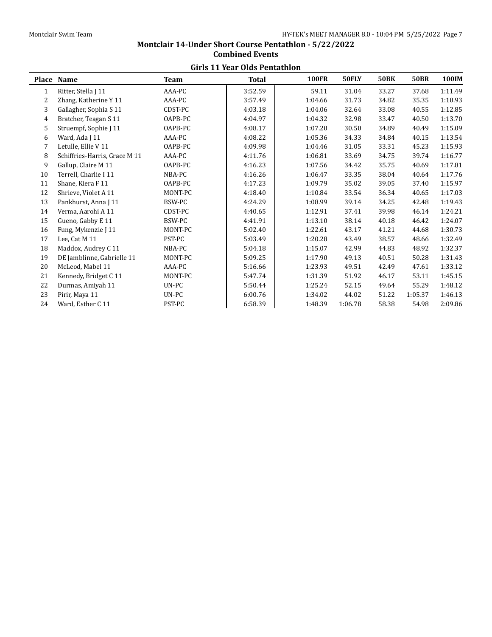#### **Girls 11 Year Olds Pentathlon Place Name Team Total 100FR 50FLY 50BK 50BR 100IM** 1 Ritter, Stella J 11 AAA-PC 3:52.59 59.11 31.04 33.27 37.68 1:11.49 2 Zhang, Katherine Y 11 AAA-PC 3:57.49 1:04.66 31.73 34.82 35.35 1:10.93 3 Gallagher, Sophia S 11 CDST-PC 4:03.18 1:04.06 32.64 33.08 40.55 1:12.85 4 Bratcher, Teagan S 11 OAPB-PC 4:04.97 1:04.32 32.98 33.47 40.50 1:13.70 5 Struempf, Sophie J 11 0APB-PC 1:08.17 1:07.20 30.50 34.89 40.49 1:15.09 6 Ward, Ada J 11 4AA-PC 1:08.22 1:05.36 34.33 34.84 40.15 1:13.54 7 Letulle, Ellie V 11 0APB-PC 1:09.98 1:04.46 31.05 33.31 45.23 1:15.93 8 Schiffries-Harris, Grace M 11 AAA-PC | 4:11.76 | 1:06.81 33.69 34.75 39.74 1:16.77 9 Gallup, Claire M 11 0APB-PC 1.16.23 1:07.56 34.42 35.75 40.69 1:17.81 10 Terrell, Charlie I 11 11 12.76 11.16.26 1:06.47 33.35 38.04 40.64 1:17.76 11 Shane, Kiera F 11 0APB-PC 4:17.23 1:09.79 35.02 39.05 37.40 1:15.97 12 Shrieve, Violet A 11 MONT-PC 4:18.40 1:10.84 33.54 36.34 40.65 1:17.03 13 Pankhurst, Anna J 11 BSW-PC 4:24.29 1:08.99 39.14 34.25 42.48 1:19.43 14 Verma, Aarohi A 11 CDST-PC 4:40.65 1:12.91 37.41 39.98 46.14 1:24.21 15 Gueno, Gabby E 11 BSW-PC 4:41.91 1:13.10 38.14 40.18 46.42 1:24.07 16 Fung, Mykenzie J 11 MONT-PC 5:02.40 1:22.61 43.17 41.21 44.68 1:30.73 17 Lee, Cat M 11 PST-PC 5:03.49 1:20.28 43.49 38.57 48.66 1:32.49 18 Maddox, Audrey C 11 NBA-PC 5:04.18 1:15.07 42.99 44.83 48.92 1:32.37 19 DE Jamblinne, Gabrielle 11 MONT-PC 5:09.25 1:17.90 49.13 40.51 50.28 1:31.43 20 McLeod, Mabel 11 AAA-PC 5:16.66 1:23.93 49.51 42.49 47.61 1:33.12 21 Kennedy, Bridget C 11 MONT-PC 5:47.74 1:31.39 51.92 46.17 53.11 1:45.15 22 Durmas, Amiyah 11 UN-PC 5:50.44 1:25.24 52.15 49.64 55.29 1:48.12 23 Pirir, Maya 11 UN-PC 6:00.76 1:34.02 44.02 51.22 1:05.37 1:46.13 24 Ward, Esther C 11 PST-PC 6:58.39 1:48.39 1:06.78 58.38 54.98 2:09.86

# **Montclair 14-Under Short Course Pentathlon - 5/22/2022 Combined Events**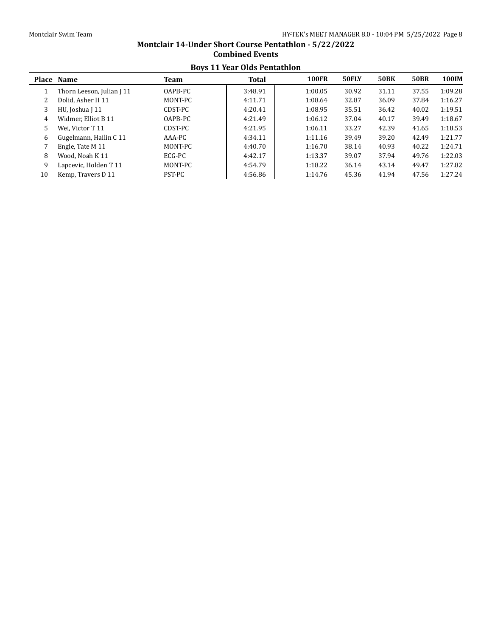## **Boys 11 Year Olds Pentathlon Place Name Team Total 100FR 50FLY 50BK 50BR 100IM** 1 Thorn Leeson, Julian J 11 OAPB-PC 3:48.91 1:00.05 30.92 31.11 37.55 1:09.28 2 Dolid, Asher H 11 MONT-PC 1:11.71 1:08.64 32.87 36.09 37.84 1:16.27 3 HU, Joshua J 11 CDST-PC 1:20.41 1:08.95 35.51 36.42 40.02 1:19.51 4 Widmer, Elliot B 11 0APB-PC 1:01.49 1:06.12 37.04 40.17 39.49 1:18.67 5 Wei, Victor T 11 CDST-PC 4:21.95 1:06.11 33.27 42.39 41.65 1:18.53 6 Gugelmann, Hailin C 11 AAA-PC 1:11.16 39.49 39.20 42.49 1:21.77 7 Engle, Tate M 11 MONT-PC 1:16.70 1:16.70 38.14 40.93 40.22 1:24.71 8 Wood, Noah K 11 ECG-PC 4:42.17 1:13.37 39.07 37.94 49.76 1:22.03 9 Lapcevic, Holden T 11 MONT-PC 4:54.79 1:18.22 36.14 43.14 49.47 1:27.82 10 Kemp, Travers D 11 PST-PC 14:56.86 1:14.76 45.36 41.94 47.56 1:27.24

# **Montclair 14-Under Short Course Pentathlon - 5/22/2022 Combined Events**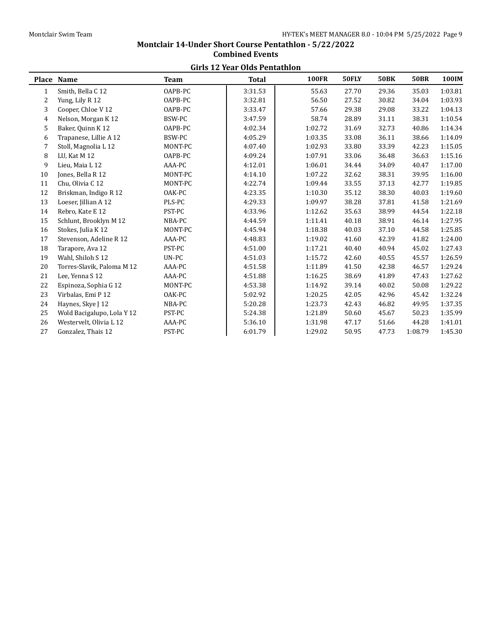# **Montclair 14-Under Short Course Pentathlon - 5/22/2022 Combined Events Girls 12 Year Olds Pentathlon**

| unis 12 ical Olus I chiathloil |                            |             |              |              |       |             |             |         |  |  |
|--------------------------------|----------------------------|-------------|--------------|--------------|-------|-------------|-------------|---------|--|--|
|                                | Place Name                 | <b>Team</b> | <b>Total</b> | <b>100FR</b> | 50FLY | <b>50BK</b> | <b>50BR</b> | 100IM   |  |  |
| 1                              | Smith, Bella C 12          | OAPB-PC     | 3:31.53      | 55.63        | 27.70 | 29.36       | 35.03       | 1:03.81 |  |  |
| 2                              | Yung, Lily R 12            | OAPB-PC     | 3:32.81      | 56.50        | 27.52 | 30.82       | 34.04       | 1:03.93 |  |  |
| 3                              | Cooper, Chloe V 12         | OAPB-PC     | 3:33.47      | 57.66        | 29.38 | 29.08       | 33.22       | 1:04.13 |  |  |
| $\overline{4}$                 | Nelson, Morgan K 12        | BSW-PC      | 3:47.59      | 58.74        | 28.89 | 31.11       | 38.31       | 1:10.54 |  |  |
| 5                              | Baker, Quinn K 12          | OAPB-PC     | 4:02.34      | 1:02.72      | 31.69 | 32.73       | 40.86       | 1:14.34 |  |  |
| 6                              | Trapanese, Lillie A 12     | BSW-PC      | 4:05.29      | 1:03.35      | 33.08 | 36.11       | 38.66       | 1:14.09 |  |  |
| 7                              | Stoll, Magnolia L 12       | MONT-PC     | 4:07.40      | 1:02.93      | 33.80 | 33.39       | 42.23       | 1:15.05 |  |  |
| 8                              | LU, Kat M 12               | OAPB-PC     | 4:09.24      | 1:07.91      | 33.06 | 36.48       | 36.63       | 1:15.16 |  |  |
| 9                              | Lieu, Maia L 12            | AAA-PC      | 4:12.01      | 1:06.01      | 34.44 | 34.09       | 40.47       | 1:17.00 |  |  |
| 10                             | Jones, Bella R 12          | MONT-PC     | 4:14.10      | 1:07.22      | 32.62 | 38.31       | 39.95       | 1:16.00 |  |  |
| 11                             | Chu, Olivia C 12           | MONT-PC     | 4:22.74      | 1:09.44      | 33.55 | 37.13       | 42.77       | 1:19.85 |  |  |
| 12                             | Briskman, Indigo R 12      | OAK-PC      | 4:23.35      | 1:10.30      | 35.12 | 38.30       | 40.03       | 1:19.60 |  |  |
| 13                             | Loeser, Jillian A 12       | PLS-PC      | 4:29.33      | 1:09.97      | 38.28 | 37.81       | 41.58       | 1:21.69 |  |  |
| 14                             | Rebro, Kate E 12           | PST-PC      | 4:33.96      | 1:12.62      | 35.63 | 38.99       | 44.54       | 1:22.18 |  |  |
| 15                             | Schlunt, Brooklyn M 12     | NBA-PC      | 4:44.59      | 1:11.41      | 40.18 | 38.91       | 46.14       | 1:27.95 |  |  |
| 16                             | Stokes, Julia K 12         | MONT-PC     | 4:45.94      | 1:18.38      | 40.03 | 37.10       | 44.58       | 1:25.85 |  |  |
| 17                             | Stevenson, Adeline R 12    | AAA-PC      | 4:48.83      | 1:19.02      | 41.60 | 42.39       | 41.82       | 1:24.00 |  |  |
| 18                             | Tarapore, Ava 12           | PST-PC      | 4:51.00      | 1:17.21      | 40.40 | 40.94       | 45.02       | 1:27.43 |  |  |
| 19                             | Wahl. Shiloh S 12          | UN-PC       | 4:51.03      | 1:15.72      | 42.60 | 40.55       | 45.57       | 1:26.59 |  |  |
| 20                             | Torres-Slavik, Paloma M 12 | AAA-PC      | 4:51.58      | 1:11.89      | 41.50 | 42.38       | 46.57       | 1:29.24 |  |  |
| 21                             | Lee, Yenna S 12            | AAA-PC      | 4:51.88      | 1:16.25      | 38.69 | 41.89       | 47.43       | 1:27.62 |  |  |
| 22                             | Espinoza, Sophia G 12      | MONT-PC     | 4:53.38      | 1:14.92      | 39.14 | 40.02       | 50.08       | 1:29.22 |  |  |
| 23                             | Virbalas, Emi P 12         | OAK-PC      | 5:02.92      | 1:20.25      | 42.05 | 42.96       | 45.42       | 1:32.24 |  |  |
| 24                             | Haynes, Skye J 12          | NBA-PC      | 5:20.28      | 1:23.73      | 42.43 | 46.82       | 49.95       | 1:37.35 |  |  |
| 25                             | Wold Bacigalupo, Lola Y 12 | PST-PC      | 5:24.38      | 1:21.89      | 50.60 | 45.67       | 50.23       | 1:35.99 |  |  |
| 26                             | Westervelt, Olivia L 12    | AAA-PC      | 5:36.10      | 1:31.98      | 47.17 | 51.66       | 44.28       | 1:41.01 |  |  |
| 27                             | Gonzalez, Thais 12         | PST-PC      | 6:01.79      | 1:29.02      | 50.95 | 47.73       | 1:08.79     | 1:45.30 |  |  |
|                                |                            |             |              |              |       |             |             |         |  |  |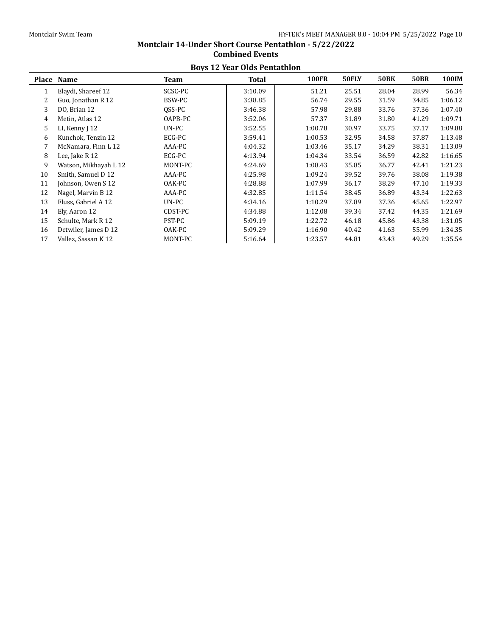#### **Boys 12 Year Olds Pentathlon Place Name Team Total 100FR 50FLY 50BK 50BR 100IM** 1 Elaydi, Shareef 12 SCSC-PC 3:10.09 51.21 25.51 28.04 28.99 56.34 2 Guo, Jonathan R 12 BSW-PC 1 3:38.85 56.74 29.55 31.59 34.85 1:06.12 3 DO, Brian 12 QSS-PC 3:46.38 57.98 29.88 33.76 37.36 1:07.40 4 Metin, Atlas 12 OAPB-PC 3:52.06 57.37 31.89 31.80 41.29 1:09.71 5 LI, Kenny J 12 UN-PC 3:52.55 1:00.78 30.97 33.75 37.17 1:09.88 6 Kunchok, Tenzin 12 ECG-PC 3:59.41 1:00.53 32.95 34.58 37.87 1:13.48 7 McNamara, Finn L 12 **AAA-PC** 4:04.32 1:03.46 35.17 34.29 38.31 1:13.09 8 Lee, Jake R 12 ECG-PC 4:13.94 1:04.34 33.54 36.59 42.82 1:16.65 9 Watson, Mikhayah L 12 MONT-PC  $4:24.69$  1:08.43 35.85 36.77 42.41 1:21.23 10 Smith, Samuel D 12 AAA-PC 4:25.98 1:09.24 39.52 39.76 38.08 1:19.38 11 Johnson, Owen S 12 OAK-PC 4:28.88 1:07.99 36.17 38.29 47.10 1:19.33 12 Nagel, Marvin B 12 **AAA-PC** 4:32.85 1:11.54 38.45 36.89 43.34 1:22.63 13 Fluss, Gabriel A 12 UN-PC 4:34.16 1:10.29 37.89 37.36 45.65 1:22.97 14 Ely, Aaron 12 CDST-PC 4:34.88 1:12.08 39.34 37.42 44.35 1:21.69 15 Schulte, Mark R 12 PST-PC 5:09.19 1:22.72 46.18 45.86 43.38 1:31.05 16 Detwiler, James D 12 OAK-PC 5:09.29 1:16.90 40.42 41.63 55.99 1:34.35 17 Vallez, Sassan K 12 MONT-PC 5:16.64 1:23.57 44.81 43.43 49.29 1:35.54

# **Combined Events**

**Montclair 14-Under Short Course Pentathlon - 5/22/2022**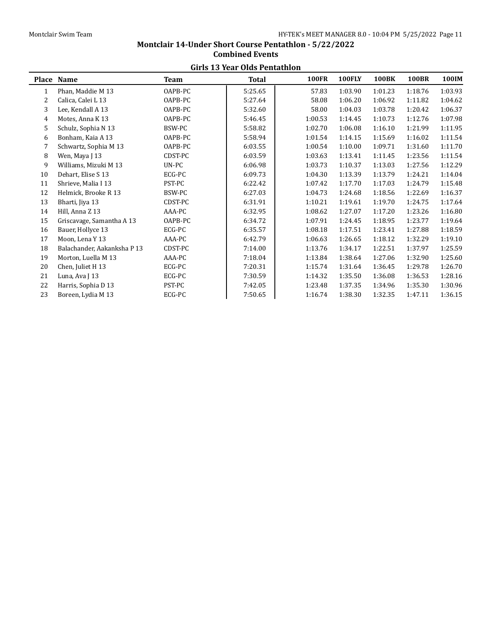# **Montclair 14-Under Short Course Pentathlon - 5/22/2022 Combined Events Girls 13 Year Olds Pentathlon**

| unis 19 icai Olus I chiathlofi |                             |         |              |              |               |              |              |         |  |  |
|--------------------------------|-----------------------------|---------|--------------|--------------|---------------|--------------|--------------|---------|--|--|
|                                | Place Name                  | Team    | <b>Total</b> | <b>100FR</b> | <b>100FLY</b> | <b>100BK</b> | <b>100BR</b> | 100IM   |  |  |
| 1                              | Phan, Maddie M 13           | OAPB-PC | 5:25.65      | 57.83        | 1:03.90       | 1:01.23      | 1:18.76      | 1:03.93 |  |  |
| 2                              | Calica, Calei L 13          | OAPB-PC | 5:27.64      | 58.08        | 1:06.20       | 1:06.92      | 1:11.82      | 1:04.62 |  |  |
| 3                              | Lee, Kendall A 13           | OAPB-PC | 5:32.60      | 58.00        | 1:04.03       | 1:03.78      | 1:20.42      | 1:06.37 |  |  |
| 4                              | Motes, Anna K 13            | OAPB-PC | 5:46.45      | 1:00.53      | 1:14.45       | 1:10.73      | 1:12.76      | 1:07.98 |  |  |
| 5                              | Schulz, Sophia N 13         | BSW-PC  | 5:58.82      | 1:02.70      | 1:06.08       | 1:16.10      | 1:21.99      | 1:11.95 |  |  |
| 6                              | Bonham, Kaia A 13           | OAPB-PC | 5:58.94      | 1:01.54      | 1:14.15       | 1:15.69      | 1:16.02      | 1:11.54 |  |  |
| 7                              | Schwartz, Sophia M 13       | OAPB-PC | 6:03.55      | 1:00.54      | 1:10.00       | 1:09.71      | 1:31.60      | 1:11.70 |  |  |
| 8                              | Wen, Maya J 13              | CDST-PC | 6:03.59      | 1:03.63      | 1:13.41       | 1:11.45      | 1:23.56      | 1:11.54 |  |  |
| 9                              | Williams, Mizuki M 13       | UN-PC   | 6:06.98      | 1:03.73      | 1:10.37       | 1:13.03      | 1:27.56      | 1:12.29 |  |  |
| 10                             | Dehart, Elise S 13          | ECG-PC  | 6:09.73      | 1:04.30      | 1:13.39       | 1:13.79      | 1:24.21      | 1:14.04 |  |  |
| 11                             | Shrieve, Malia I 13         | PST-PC  | 6:22.42      | 1:07.42      | 1:17.70       | 1:17.03      | 1:24.79      | 1:15.48 |  |  |
| 12                             | Helmick, Brooke R 13        | BSW-PC  | 6:27.03      | 1:04.73      | 1:24.68       | 1:18.56      | 1:22.69      | 1:16.37 |  |  |
| 13                             | Bharti, Jiya 13             | CDST-PC | 6:31.91      | 1:10.21      | 1:19.61       | 1:19.70      | 1:24.75      | 1:17.64 |  |  |
| 14                             | Hill. Anna Z 13             | AAA-PC  | 6:32.95      | 1:08.62      | 1:27.07       | 1:17.20      | 1:23.26      | 1:16.80 |  |  |
| 15                             | Griscavage, Samantha A 13   | OAPB-PC | 6:34.72      | 1:07.91      | 1:24.45       | 1:18.95      | 1:23.77      | 1:19.64 |  |  |
| 16                             | Bauer, Hollyce 13           | ECG-PC  | 6:35.57      | 1:08.18      | 1:17.51       | 1:23.41      | 1:27.88      | 1:18.59 |  |  |
| 17                             | Moon, Lena Y 13             | AAA-PC  | 6:42.79      | 1:06.63      | 1:26.65       | 1:18.12      | 1:32.29      | 1:19.10 |  |  |
| 18                             | Balachander, Aakanksha P 13 | CDST-PC | 7:14.00      | 1:13.76      | 1:34.17       | 1:22.51      | 1:37.97      | 1:25.59 |  |  |
| 19                             | Morton, Luella M 13         | AAA-PC  | 7:18.04      | 1:13.84      | 1:38.64       | 1:27.06      | 1:32.90      | 1:25.60 |  |  |
| 20                             | Chen, Juliet H 13           | ECG-PC  | 7:20.31      | 1:15.74      | 1:31.64       | 1:36.45      | 1:29.78      | 1:26.70 |  |  |
| 21                             | Luna, Ava J 13              | ECG-PC  | 7:30.59      | 1:14.32      | 1:35.50       | 1:36.08      | 1:36.53      | 1:28.16 |  |  |
| 22                             | Harris, Sophia D 13         | PST-PC  | 7:42.05      | 1:23.48      | 1:37.35       | 1:34.96      | 1:35.30      | 1:30.96 |  |  |
| 23                             | Boreen, Lydia M 13          | ECG-PC  | 7:50.65      | 1:16.74      | 1:38.30       | 1:32.35      | 1:47.11      | 1:36.15 |  |  |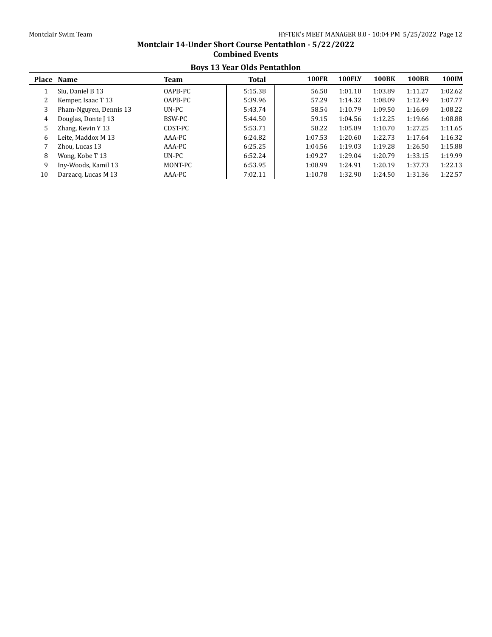## **Boys 13 Year Olds Pentathlon Place Name Team Total 100FR 100FLY 100BK 100BR 100IM** 1 Siu, Daniel B 13 OAPB-PC 5:15.38 56.50 1:01.10 1:03.89 1:11.27 1:02.62 2 Kemper, Isaac T 13 0APB-PC 15:39.96 57.29 1:14.32 1:08.09 1:12.49 1:07.77 3 Pham-Nguyen, Dennis 13 UN-PC 5:43.74 58.54 1:10.79 1:09.50 1:16.69 1:08.22 4 Douglas, Donte J 13 BSW-PC 15:44.50 1 5:44.50 59.15 1:04.56 1:12.25 1:19.66 1:08.88 5 Zhang, Kevin Y 13 CDST-PC 1:553.71 58.22 1:05.89 1:10.70 1:27.25 1:11.65 6 Leite, Maddox M 13 AAA-PC 6:24.82 1:07.53 1:20.60 1:22.73 1:17.64 1:16.32 7 Zhou, Lucas 13 AAA-PC 6:25.25 1:04.56 1:19.03 1:19.28 1:26.50 1:15.88 8 Wong, Kobe T 13 UN-PC 6:52.24 1:09.27 1:29.04 1:20.79 1:33.15 1:19.99 9 Iny-Woods, Kamil 13 MONT-PC 6:53.95 1:08.99 1:24.91 1:20.19 1:37.73 1:22.13 10 Darzacq, Lucas M 13 AAA-PC 17:02.11 1:10.78 1:32.90 1:24.50 1:31.36 1:22.57

# **Montclair 14-Under Short Course Pentathlon - 5/22/2022 Combined Events**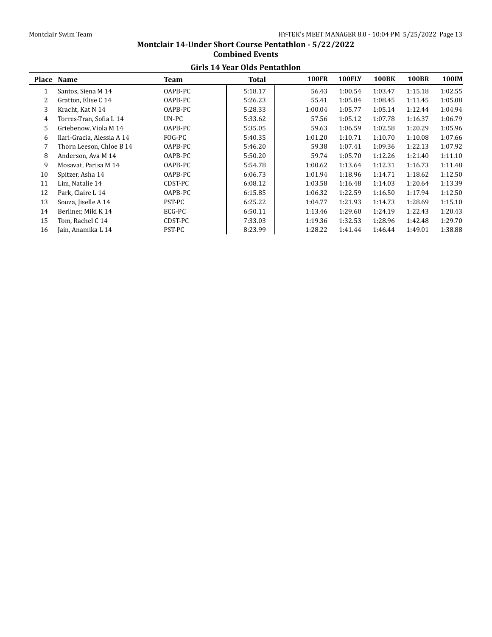# **Montclair 14-Under Short Course Pentathlon - 5/22/2022 Combined Events Girls 14 Year Olds Pentathlon**

|    | unis 17 iyal oluş i cinamiyil |         |              |              |               |              |              |         |  |  |  |
|----|-------------------------------|---------|--------------|--------------|---------------|--------------|--------------|---------|--|--|--|
|    | Place Name                    | Team    | <b>Total</b> | <b>100FR</b> | <b>100FLY</b> | <b>100BK</b> | <b>100BR</b> | 100IM   |  |  |  |
| 1  | Santos, Siena M 14            | OAPB-PC | 5:18.17      | 56.43        | 1:00.54       | 1:03.47      | 1:15.18      | 1:02.55 |  |  |  |
| 2  | Gratton, Elise C 14           | OAPB-PC | 5:26.23      | 55.41        | 1:05.84       | 1:08.45      | 1:11.45      | 1:05.08 |  |  |  |
| 3  | Kracht, Kat N 14              | OAPB-PC | 5:28.33      | 1:00.04      | 1:05.77       | 1:05.14      | 1:12.44      | 1:04.94 |  |  |  |
| 4  | Torres-Tran, Sofia L 14       | $UN-PC$ | 5:33.62      | 57.56        | 1:05.12       | 1:07.78      | 1:16.37      | 1:06.79 |  |  |  |
| 5  | Griebenow, Viola M 14         | OAPB-PC | 5:35.05      | 59.63        | 1:06.59       | 1:02.58      | 1:20.29      | 1:05.96 |  |  |  |
| 6  | Ilari-Gracia, Alessia A 14    | FOG-PC  | 5:40.35      | 1:01.20      | 1:10.71       | 1:10.70      | 1:10.08      | 1:07.66 |  |  |  |
| 7  | Thorn Leeson, Chloe B 14      | OAPB-PC | 5:46.20      | 59.38        | 1:07.41       | 1:09.36      | 1:22.13      | 1:07.92 |  |  |  |
| 8  | Anderson, Ava M 14            | OAPB-PC | 5:50.20      | 59.74        | 1:05.70       | 1:12.26      | 1:21.40      | 1:11.10 |  |  |  |
| 9  | Mosavat, Parisa M 14          | OAPB-PC | 5:54.78      | 1:00.62      | 1:13.64       | 1:12.31      | 1:16.73      | 1:11.48 |  |  |  |
| 10 | Spitzer, Asha 14              | OAPB-PC | 6:06.73      | 1:01.94      | 1:18.96       | 1:14.71      | 1:18.62      | 1:12.50 |  |  |  |
| 11 | Lim. Natalie 14               | CDST-PC | 6:08.12      | 1:03.58      | 1:16.48       | 1:14.03      | 1:20.64      | 1:13.39 |  |  |  |
| 12 | Park, Claire L 14             | OAPB-PC | 6:15.85      | 1:06.32      | 1:22.59       | 1:16.50      | 1:17.94      | 1:12.50 |  |  |  |
| 13 | Souza, Jiselle A 14           | PST-PC  | 6:25.22      | 1:04.77      | 1:21.93       | 1:14.73      | 1:28.69      | 1:15.10 |  |  |  |
| 14 | Berliner, Miki K 14           | ECG-PC  | 6:50.11      | 1:13.46      | 1:29.60       | 1:24.19      | 1:22.43      | 1:20.43 |  |  |  |
| 15 | Tom, Rachel C 14              | CDST-PC | 7:33.03      | 1:19.36      | 1:32.53       | 1:28.96      | 1:42.48      | 1:29.70 |  |  |  |
| 16 | Jain, Anamika L 14            | PST-PC  | 8:23.99      | 1:28.22      | 1:41.44       | 1:46.44      | 1:49.01      | 1:38.88 |  |  |  |
|    |                               |         |              |              |               |              |              |         |  |  |  |